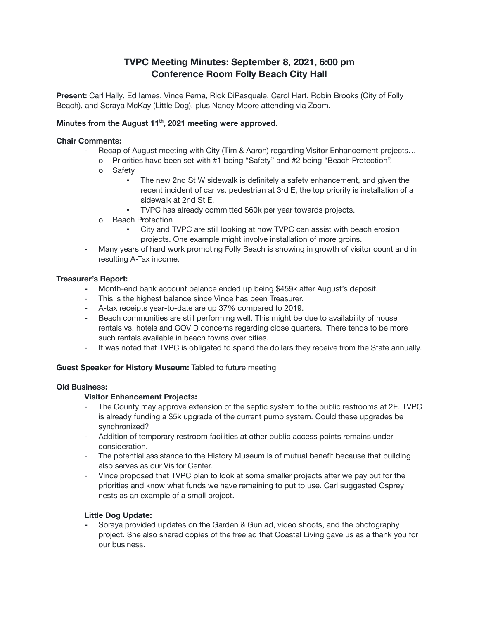# **TVPC Meeting Minutes: September 8, 2021, 6:00 pm Conference Room Folly Beach City Hall**

**Present:** Carl Hally, Ed Iames, Vince Perna, Rick DiPasquale, Carol Hart, Robin Brooks (City of Folly Beach), and Soraya McKay (Little Dog), plus Nancy Moore attending via Zoom.

# **Minutes from the August 11 th , 2021 meeting were approved.**

#### **Chair Comments:**

- Recap of August meeting with City (Tim & Aaron) regarding Visitor Enhancement projects...
	- o Priorities have been set with #1 being "Safety" and #2 being "Beach Protection".
	- o Safety
		- The new 2nd St W sidewalk is definitely a safety enhancement, and given the recent incident of car vs. pedestrian at 3rd E, the top priority is installation of a sidewalk at 2nd St E.
		- TVPC has already committed \$60k per year towards projects.
	- o Beach Protection
		- City and TVPC are still looking at how TVPC can assist with beach erosion projects. One example might involve installation of more groins.
- Many years of hard work promoting Folly Beach is showing in growth of visitor count and in resulting A-Tax income.

#### **Treasurer's Report:**

- **-** Month-end bank account balance ended up being \$459k after August's deposit.
- This is the highest balance since Vince has been Treasurer.
- **-** A-tax receipts year-to-date are up 37% compared to 2019.
- **-** Beach communities are still performing well. This might be due to availability of house rentals vs. hotels and COVID concerns regarding close quarters. There tends to be more such rentals available in beach towns over cities.
- It was noted that TVPC is obligated to spend the dollars they receive from the State annually.

#### **Guest Speaker for History Museum:** Tabled to future meeting

## **Old Business:**

#### **Visitor Enhancement Projects:**

- The County may approve extension of the septic system to the public restrooms at 2E. TVPC is already funding a \$5k upgrade of the current pump system. Could these upgrades be synchronized?
- Addition of temporary restroom facilities at other public access points remains under consideration.
- The potential assistance to the History Museum is of mutual benefit because that building also serves as our Visitor Center.
- Vince proposed that TVPC plan to look at some smaller projects after we pay out for the priorities and know what funds we have remaining to put to use. Carl suggested Osprey nests as an example of a small project.

# **Little Dog Update:**

**-** Soraya provided updates on the Garden & Gun ad, video shoots, and the photography project. She also shared copies of the free ad that Coastal Living gave us as a thank you for our business.